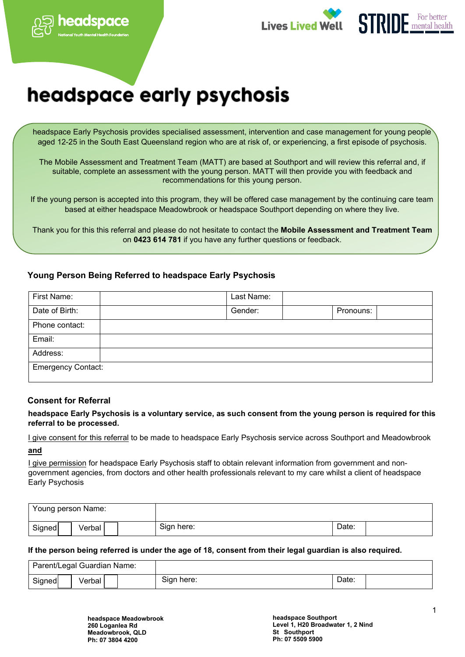





# headspace early psychosis

headspace Early Psychosis provides specialised assessment, intervention and case management for young people aged 12-25 in the South East Queensland region who are at risk of, or experiencing, a first episode of psychosis.

The Mobile Assessment and Treatment Team (MATT) are based at Southport and will review this referral and, if suitable, complete an assessment with the young person. MATT will then provide you with feedback and recommendations for this young person.

If the young person is accepted into this program, they will be offered case management by the continuing care team based at either headspace Meadowbrook or headspace Southport depending on where they live.

Thank you for this this referral and please do not hesitate to contact the **Mobile Assessment and Treatment Team** on **0423 614 781** if you have any further questions or feedback.

# **Young Person Being Referred to headspace Early Psychosis**

| First Name:               | Last Name: |           |
|---------------------------|------------|-----------|
| Date of Birth:            | Gender:    | Pronouns: |
| Phone contact:            |            |           |
| Email:                    |            |           |
| Address:                  |            |           |
| <b>Emergency Contact:</b> |            |           |

# **Consent for Referral**

**headspace Early Psychosis is a voluntary service, as such consent from the young person is required for this referral to be processed.** 

I give consent for this referral to be made to headspace Early Psychosis service across Southport and Meadowbrook

**and** 

I give permission for headspace Early Psychosis staff to obtain relevant information from government and nongovernment agencies, from doctors and other health professionals relevant to my care whilst a client of headspace Early Psychosis

| Young person Name: |        |  |            |       |  |
|--------------------|--------|--|------------|-------|--|
| Signed             | √erbal |  | Sign here: | Date: |  |

## **If the person being referred is under the age of 18, consent from their legal guardian is also required.**

|        | Parent/Legal Guardian Name: |            |       |  |
|--------|-----------------------------|------------|-------|--|
| Signed | Verbal                      | Sian here: | Date: |  |